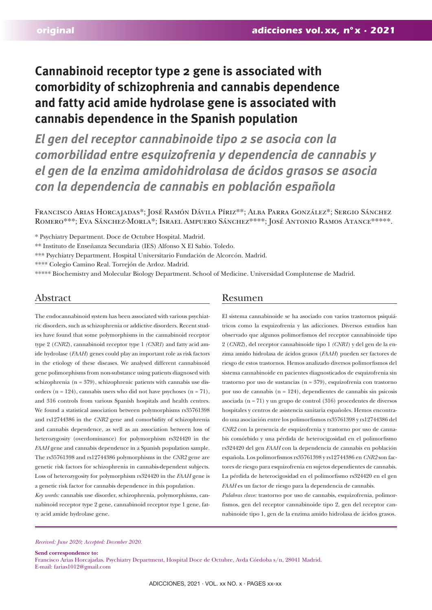# **Cannabinoid receptor type 2 gene is associated with comorbidity of schizophrenia and cannabis dependence and fatty acid amide hydrolase gene is associated with cannabis dependence in the Spanish population**

*El gen del receptor cannabinoide tipo 2 se asocia con la comorbilidad entre esquizofrenia y dependencia de cannabis y el gen de la enzima amidohidrolasa de ácidos grasos se asocia con la dependencia de cannabis en población española*

Francisco Arias Horcajadas\*; José Ramón Dávila Píriz\*\*; Alba Parra González\*; Sergio Sánchez Romero\*\*\*; Eva Sánchez-Morla\*; Israel Ampuero Sánchez\*\*\*\*; José Antonio Ramos Atance\*\*\*\*\*.

\* Psychiatry Department. Doce de Octubre Hospital. Madrid.

\*\* Instituto de Enseñanza Secundaria (IES) Alfonso X El Sabio. Toledo.

\*\*\* Psychiatry Department. Hospital Universitario Fundación de Alcorcón. Madrid.

\*\*\*\* Colegio Camino Real. Torrejón de Ardoz. Madrid.

\*\*\*\*\* Biochemistry and Molecular Biology Department. School of Medicine. Universidad Complutense de Madrid.

The endocannabinoid system has been associated with various psychiatric disorders, such as schizophrenia or addictive disorders. Recent studies have found that some polymorphisms in the cannabinoid receptor type 2 (*CNR2*), cannabinoid receptor type 1 *(CNR1*) and fatty acid amide hydrolase (*FAAH*) genes could play an important role as risk factors in the etiology of these diseases. We analysed different cannabinoid gene polimorphisms from non-substance using patients diagnosed with schizophrenia (n = 379), schizophrenic patients with cannabis use disorders ( $n = 124$ ), cannabis users who did not have psychoses ( $n = 71$ ), and 316 controls from various Spanish hospitals and health centres. We found a statistical association between polymorphisms rs35761398 and rs12744386 in the *CNR2* gene and comorbidity of schizophrenia and cannabis dependence, as well as an association between loss of heterozygosity (overdominance) for polymorphism rs324420 in the *FAAH* gene and cannabis dependence in a Spanish population sample. The rs35761398 and rs12744386 polymorphisms in the *CNR2* gene are genetic risk factors for schizophrenia in cannabis-dependent subjects. Loss of heterozygosity for polymorphism rs324420 in the *FAAH* gene is a genetic risk factor for cannabis dependence in this population.

*Key words:* cannabis use disorder, schizophrenia, polymorphisms, cannabinoid receptor type 2 gene, cannabinoid receptor type 1 gene, fatty acid amide hydrolase gene.

# Abstract Resumen

El sistema cannabinoide se ha asociado con varios trastornos psiquiátricos como la esquizofrenia y las adicciones. Diversos estudios han observado que algunos polimorfismos del receptor cannabinoide tipo 2 (*CNR2*), del receptor cannabinoide tipo 1 *(CNR1*) y del gen de la enzima amido hidrolasa de ácidos grasos (*FAAH*) pueden ser factores de riesgo de estos trastornos. Hemos analizado diversos polimorfismos del sistema cannabinoide en pacientes diagnosticados de esquizofrenia sin trastorno por uso de sustancias (n = 379), esquizofrenia con trastorno por uso de cannabis (n = 124), dependientes de cannabis sin psicosis asociada (n = 71) y un grupo de control (316) procedentes de diversos hospitales y centros de asistencia sanitaria españoles. Hemos encontrado una asociación entre los polimorfismos rs35761398 y rs12744386 del *CNR2* con la presencia de esquizofrenia y trastorno por uso de cannabis comórbido y una pérdida de heterocigosidad en el polimorfismo rs324420 del gen *FAAH* con la dependencia de cannabis en población española. Los polimorfismos rs35761398 y rs12744386 en *CNR2* son factores de riesgo para esquizofrenia en sujetos dependientes de cannabis. La pérdida de heterocigosidad en el polimorfismo rs324420 en el gen *FAAH* es un factor de riesgo para la dependencia de cannabis.

*Palabras clave:* trastorno por uso de cannabis, esquizofrenia, polimorfismos, gen del receptor cannabinoide tipo 2, gen del receptor cannabinoide tipo 1, gen de la enzima amido hidrolasa de ácidos grasos.

#### *Received: June 2020; Accepted: December 2020.*

**Send correspondence to:**  Francisco Arias Horcajadas. Psychiatry Department, Hospital Doce de Octubre, Avda Córdoba s/n, 28041 Madrid. E-mail: farias1012@gmail.com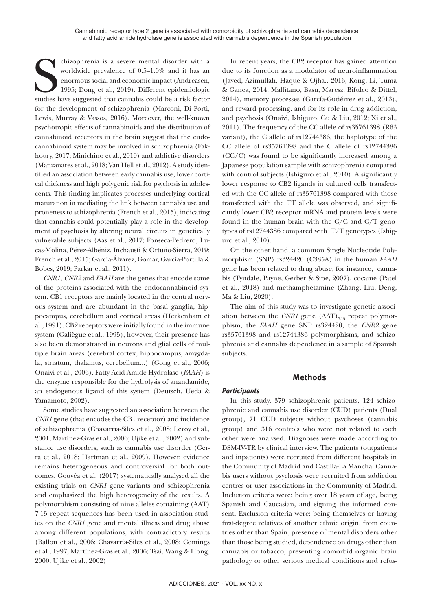chizophrenia is a severe mental disorder with a worldwide prevalence of 0.5–1.0% and it has an enormous social and economic impact (Andreasen, 1995; Dong et al., 2019). Different epidemiologic studies have suggested that c chizophrenia is a severe mental disorder with a worldwide prevalence of 0.5–1.0% and it has an enormous social and economic impact (Andreasen, 1995; Dong et al., 2019). Different epidemiologic for the development of schizophrenia (Marconi, Di Forti, Lewis, Murray & Vassos, 2016). Moreover, the well-known psychotropic effects of cannabinoids and the distribution of cannabinoid receptors in the brain suggest that the endocannabinoid system may be involved in schizophrenia (Fakhoury, 2017; Minichino et al., 2019) and addictive disorders (Manzanares et al., 2018; Van Hell et al., 2012). A study identified an association between early cannabis use, lower cortical thickness and high polygenic risk for psychosis in adolescents. This finding implicates processes underlying cortical maturation in mediating the link between cannabis use and proneness to schizophrenia (French et al., 2015), indicating that cannabis could potentially play a role in the development of psychosis by altering neural circuits in genetically vulnerable subjects (Aas et al., 2017; Fonseca-Pedrero, Lucas-Molina, Pérez-Albéniz, Inchausti & Ortuño-Sierra, 2019; French et al., 2015; García-Álvarez, Gomar, García-Portilla & Bobes, 2019; Parkar et al., 2011).

*CNR1, CNR2* and *FAAH* are the genes that encode some of the proteins associated with the endocannabinoid system. CB1 receptors are mainly located in the central nervous system and are abundant in the basal ganglia, hippocampus, cerebellum and cortical areas (Herkenham et al., 1991). CB2 receptors were initially found in the immune system (Galiègue et al., 1995), however, their presence has also been demonstrated in neurons and glial cells of multiple brain areas (cerebral cortex, hippocampus, amygdala, striatum, thalamus, cerebellum...) (Gong et al., 2006; Onaivi et al., 2006). Fatty Acid Amide Hydrolase (*FAAH*) is the enzyme responsible for the hydrolysis of anandamide, an endogenous ligand of this system (Deutsch, Ueda & Yamamoto, 2002).

Some studies have suggested an association between the *CNR1* gene (that encodes the CB1 receptor) and incidence of schizophrenia (Chavarría-Siles et al., 2008; Leroy et al., 2001; Martínez-Gras et al., 2006; Ujike et al., 2002) and substance use disorders, such as cannabis use disorder (Gerra et al., 2018; Hartman et al., 2009). However, evidence remains heterogeneous and controversial for both outcomes. Gouvêa et al. (2017) systematically analysed all the existing trials on *CNR1* gene variants and schizophrenia and emphasized the high heterogeneity of the results. A polymorphism consisting of nine alleles containing (AAT) 7-15 repeat sequences has been used in association studies on the *CNR1* gene and mental illness and drug abuse among different populations, with contradictory results (Ballon et al., 2006; Chavarría-Siles et al., 2008; Comings et al., 1997; Martínez-Gras et al., 2006; Tsai, Wang & Hong, 2000; Ujike et al., 2002).

In recent years, the CB2 receptor has gained attention due to its function as a modulator of neuroinflammation (Javed, Azimullah, Haque & Ojha., 2016; Kong, Li, Tuma & Ganea, 2014; Malfitano, Basu, Maresz, Bifulco & Dittel, 2014), memory processes (García-Gutiérrez et al., 2013), and reward processing, and for its role in drug addiction, and psychosis (Onaivi, Ishiguro, Gu & Liu, 2012; Xi et al., 2011). The frequency of the CC allele of rs35761398 (R63 variant), the C allele of rs12744386, the haplotype of the CC allele of rs35761398 and the C allele of rs12744386 (CC/C) was found to be significantly increased among a Japanese population sample with schizophrenia compared with control subjects (Ishiguro et al., 2010). A significantly lower response to CB2 ligands in cultured cells transfected with the CC allele of rs35761398 compared with those transfected with the TT allele was observed, and significantly lower CB2 receptor mRNA and protein levels were found in the human brain with the  $C/C$  and  $C/T$  genotypes of rs12744386 compared with T/T genotypes (Ishiguro et al., 2010).

On the other hand, a common Single Nucleotide Polymorphism (SNP) rs324420 (C385A) in the human *FAAH*  gene has been related to drug abuse, for instance, cannabis (Tyndale, Payne, Gerber & Sipe, 2007), cocaine (Patel et al., 2018) and methamphetamine (Zhang, Liu, Deng, Ma & Liu, 2020).

The aim of this study was to investigate genetic association between the *CNR1* gene  $(AAT)_{7,15}$  repeat polymorphism, the *FAAH* gene SNP rs324420, the *CNR2* gene rs35761398 and rs12744386 polymorphisms, and schizophrenia and cannabis dependence in a sample of Spanish subjects.

### **Methods**

### *Participants*

In this study, 379 schizophrenic patients, 124 schizophrenic and cannabis use disorder (CUD) patients (Dual group), 71 CUD subjects without psychoses (cannabis group) and 316 controls who were not related to each other were analysed. Diagnoses were made according to DSM-IV-TR by clinical interview. The patients (outpatients and inpatients) were recruited from different hospitals in the Community of Madrid and Castilla-La Mancha. Cannabis users without psychosis were recruited from addiction centres or user associations in the Community of Madrid. Inclusion criteria were: being over 18 years of age, being Spanish and Caucasian, and signing the informed consent. Exclusion criteria were: being themselves or having first-degree relatives of another ethnic origin, from countries other than Spain, presence of mental disorders other than those being studied, dependence on drugs other than cannabis or tobacco, presenting comorbid organic brain pathology or other serious medical conditions and refus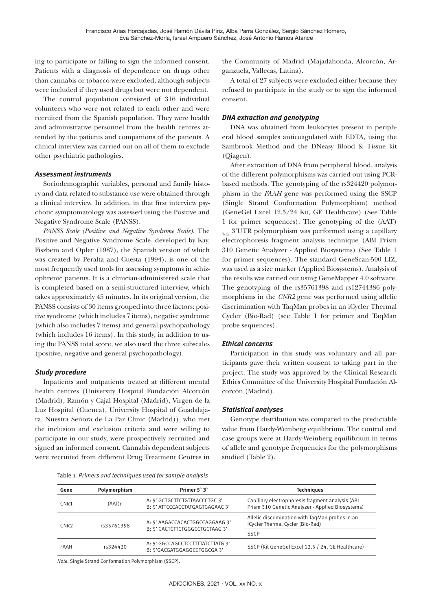ing to participate or failing to sign the informed consent. Patients with a diagnosis of dependence on drugs other than cannabis or tobacco were excluded, although subjects were included if they used drugs but were not dependent.

The control population consisted of 316 individual volunteers who were not related to each other and were recruited from the Spanish population. They were health and administrative personnel from the health centres attended by the patients and companions of the patients. A clinical interview was carried out on all of them to exclude other psychiatric pathologies.

#### *Assessment instruments*

Sociodemographic variables, personal and family history and data related to substance use were obtained through a clinical interview. In addition, in that first interview psychotic symptomatology was assessed using the Positive and Negative Syndrome Scale (PANSS).

*PANSS Scale (Positive and Negative Syndrome Scale).* The Positive and Negative Syndrome Scale, developed by Kay, Fiszbein and Opler (1987), the Spanish version of which was created by Peralta and Cuesta (1994), is one of the most frequently used tools for assessing symptoms in schizophrenic patients. It is a clinician-administered scale that is completed based on a semi-structured interview, which takes approximately 45 minutes. In its original version, the PANSS consists of 30 items grouped into three factors: positive syndrome (which includes 7 items), negative syndrome (which also includes 7 items) and general psychopathology (which includes 16 items). In this study, in addition to using the PANSS total score, we also used the three subscales (positive, negative and general psychopathology).

#### *Study procedure*

Inpatients and outpatients treated at different mental health centres (University Hospital Fundación Alcorcón (Madrid), Ramón y Cajal Hospital (Madrid), Virgen de la Luz Hospital (Cuenca), University Hospital of Guadalajara, Nuestra Señora de La Paz Clinic (Madrid)), who met the inclusion and exclusion criteria and were willing to participate in our study, were prospectively recruited and signed an informed consent. Cannabis dependent subjects were recruited from different Drug Treatment Centres in the Community of Madrid (Majadahonda, Alcorcón, Arganzuela, Vallecas, Latina).

A total of 27 subjects were excluded either because they refused to participate in the study or to sign the informed consent.

#### *DNA extraction and genotyping*

DNA was obtained from leukocytes present in peripheral blood samples anticoagulated with EDTA, using the Sambrook Method and the DNeasy Blood & Tissue kit (Qiagen).

After extraction of DNA from peripheral blood, analysis of the different polymorphisms was carried out using PCRbased methods. The genotyping of the rs324420 polymorphism in the *FAAH* gene was performed using the SSCP (Single Strand Conformation Polymorphism) method (GeneGel Excel 12.5/24 Kit, GE Healthcare) (See Table 1 for primer sequences). The genotyping of the (AAT)  $_{7.15}$  3'UTR polymorphism was performed using a capillary electrophoresis fragment analysis technique (ABI Prism 310 Genetic Analyzer - Applied Biosystems) (See Table 1 for primer sequences). The standard GeneScan-500 LIZ, was used as a size marker (Applied Biosystems). Analysis of the results was carried out using GeneMapper 4.0 software. The genotyping of the rs35761398 and rs12744386 polymorphisms in the *CNR2* gene was performed using allelic discrimination with TaqMan probes in an iCycler Thermal Cycler (Bio-Rad) (see Table 1 for primer and TaqMan probe sequences).

#### *Ethical concerns*

Participation in this study was voluntary and all participants gave their written consent to taking part in the project. The study was approved by the Clinical Research Ethics Committee of the University Hospital Fundación Alcorcón (Madrid).

#### *Statistical analyses*

Genotype distribution was compared to the predictable value from Hardy-Weinberg equilibrium. The control and case groups were at Hardy-Weinberg equilibrium in terms of allele and genotype frequencies for the polymorphisms studied (Table 2).

|  |  | Table 1. Primers and techniques used for sample analysis |
|--|--|----------------------------------------------------------|
|--|--|----------------------------------------------------------|

| Gene             | Polymorphism | Primer 5 3                                                       | <b>Techniques</b>                                                                                    |  |
|------------------|--------------|------------------------------------------------------------------|------------------------------------------------------------------------------------------------------|--|
| CNR <sub>1</sub> | (AAT)n       | A: 5' GCTGCTTCTGTTAACCCTGC 3'<br>B: 5' ATTCCCACCTATGAGTGAGAAC 3' | Capillary electrophoresis fragment analysis (ABI<br>Prism 310 Genetic Analyzer - Applied Biosystems) |  |
| CNR <sub>2</sub> | rs35761398   | A: 5' AAGACCACACTGGCCAGGAAG 3'<br>B: 5' CACTCTTCTGGGCCTGCTAAG 3' | Allelic discrimination with TagMan probes in an<br>iCycler Thermal Cycler (Bio-Rad)                  |  |
|                  |              |                                                                  | <b>SSCP</b>                                                                                          |  |
| FAAH             | rs324420     | A: 5' GGCCAGCCTCCTTTTATCTTATG 3'<br>B: 5'GACGATGGAGGCCTGGCGA 3'  | SSCP (Kit GeneGel Excel 12.5 / 24, GE Healthcare)                                                    |  |
|                  |              |                                                                  |                                                                                                      |  |

*Note.* Single Strand Conformation Polymorphism (SSCP).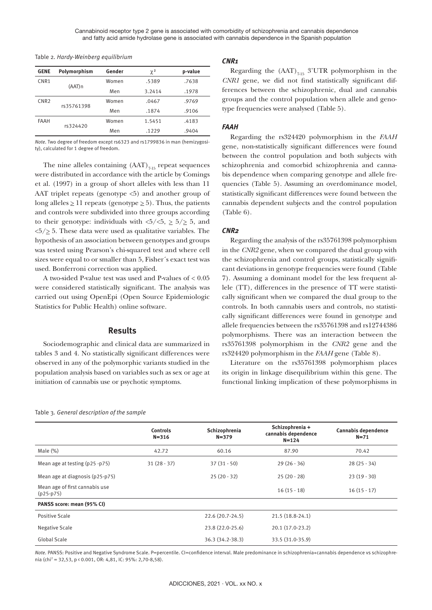| <b>GENE</b>      | Polymorphism | Gender | $\chi^2$ | p-value |
|------------------|--------------|--------|----------|---------|
| CNR <sub>1</sub> | $(AAT)$ n    | Women  | .5389    | .7638   |
|                  |              | Men    | 3.2414   | .1978   |
| CNR <sub>2</sub> | rs35761398   | Women  | .0467    | .9769   |
|                  |              | Men    | .1874    | .9106   |
| <b>FAAH</b>      | rs324420     | Women  | 1.5451   | .4183   |
|                  |              | Men    | .1229    | .9404   |

Table 2*. Hardy-Weinberg equilibrium*

*Note.* Two degree of freedom except rs6323 and rs1799836 in man (hemizygosity), calculated for 1 degree of freedom.

The nine alleles containing  $(AAT)_{7.15}$  repeat sequences were distributed in accordance with the article by Comings et al. (1997) in a group of short alleles with less than 11 AAT triplet repeats (genotype  $\leq 5$ ) and another group of long alleles  $\geq 11$  repeats (genotype  $\geq 5$ ). Thus, the patients and controls were subdivided into three groups according to their genotype: individuals with  $\langle 5/\langle 5, \geq 5/\rangle$  5, and  $5/2$  5. These data were used as qualitative variables. The hypothesis of an association between genotypes and groups was tested using Pearson's chi-squared test and where cell sizes were equal to or smaller than 5, Fisher´s exact test was used. Bonferroni correction was applied.

A two-sided P-value test was used and P-values of < 0.05 were considered statistically significant. The analysis was carried out using OpenEpi (Open Source Epidemiologic Statistics for Public Health) online software.

# **Results**

Sociodemographic and clinical data are summarized in tables 3 and 4. No statistically significant differences were observed in any of the polymorphic variants studied in the population analysis based on variables such as sex or age at initiation of cannabis use or psychotic symptoms.

> **Controls N=316**

Positive Scale 22.6 (20.7-24.5) 21.5 (18.8-24.1) Negative Scale 23.8 (22.0-25.6) 20.1 (17.0-23.2) Global Scale 36.3 (34.2-38.3) 33.5 (31.0-35.9)

# Table 3*. General description of the sample*

Mean age of first cannabis use

**PANSS score: mean (95% CI)**

# *CNR1*

Regarding the  $(AAT)_{7.15}$  3'UTR polymorphism in the *CNR1* gene, we did not find statistically significant differences between the schizophrenic, dual and cannabis groups and the control population when allele and genotype frequencies were analysed (Table 5).

#### *FAAH*

Regarding the rs324420 polymorphism in the *FAAH* gene, non-statistically significant differences were found between the control population and both subjects with schizophrenia and comorbid schizophrenia and cannabis dependence when comparing genotype and allele frequencies (Table 5). Assuming an overdominance model, statistically significant differences were found between the cannabis dependent subjects and the control population (Table 6).

#### *CNR2*

Regarding the analysis of the rs35761398 polymorphism in the *CNR2* gene, when we compared the dual group with the schizophrenia and control groups, statistically significant deviations in genotype frequencies were found (Table 7). Assuming a dominant model for the less frequent allele (TT), differences in the presence of TT were statistically significant when we compared the dual group to the controls. In both cannabis users and controls, no statistically significant differences were found in genotype and allele frequencies between the rs35761398 and rs12744386 polymorphisms. There was an interaction between the rs35761398 polymorphism in the *CNR2* gene and the rs324420 polymorphism in the *FAAH* gene (Table 8).

Literature on the rs35761398 polymorphism places its origin in linkage disequilibrium within this gene. The functional linking implication of these polymorphisms in

> **Cannabis dependence N=71**

**Schizophrenia + cannabis dependence N=124**

| Note. PANSS: Positive and Negative Syndrome Scale. P=percentile. CI=confidence interval. Male predominance in schizophrenia+cannabis dependence vs schizophre- |  |
|----------------------------------------------------------------------------------------------------------------------------------------------------------------|--|
| nia (chi <sup>2</sup> = 32,53, p < 0.001, OR: 4,81, IC: 95%: 2,70-8,58).                                                                                       |  |

**Schizophrenia N=379**

Male (%) 42.72 60.16 87.90 70.42 Mean age at testing (p25 - p75) 31 (28 - 37) 37 (31 - 50) 37 (31 - 50 39 (26 - 36) 28 (25 - 34) Mean age at diagnosis (p25-p75) 25 (20 - 32) 25 (20 - 28) 23 (19 - 30)

(p25-p75) 16 (15 - 17) 16 (15 - 17) 16 (15 - 17) 16 (15 - 17) 16 (15 - 17) 16 (15 - 17)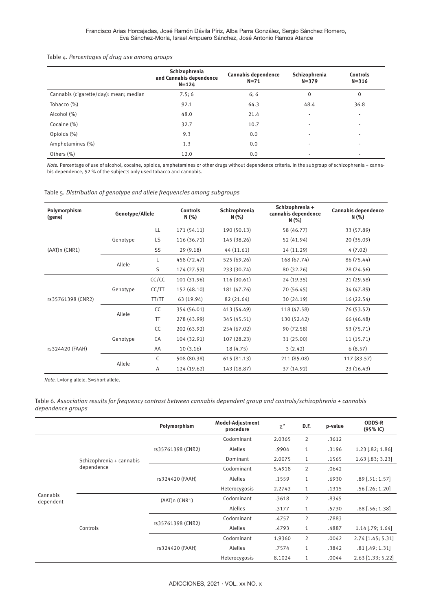#### Table 4*. Percentages of drug use among groups*

|                                        | Schizophrenia<br>and Cannabis dependence<br>$N = 124$ | Cannabis dependence<br>$N = 71$ | Schizophrenia<br>$N = 379$ | <b>Controls</b><br>$N = 316$ |
|----------------------------------------|-------------------------------------------------------|---------------------------------|----------------------------|------------------------------|
| Cannabis (cigarette/day): mean; median | 7.5:6                                                 | 6:6                             | $\mathbf 0$                | $\mathbf 0$                  |
| Tobacco (%)                            | 92.1                                                  | 64.3                            | 48.4                       | 36.8                         |
| Alcohol (%)                            | 48.0                                                  | 21.4                            | $\overline{\phantom{a}}$   | ٠                            |
| Cocaine (%)                            | 32.7                                                  | 10.7                            | $\overline{\phantom{a}}$   | ٠                            |
| Opioids (%)                            | 9.3                                                   | 0.0                             |                            | $\overline{\phantom{a}}$     |
| Amphetamines (%)                       | 1.3                                                   | 0.0                             |                            | -                            |
| Others (%)                             | 12.0                                                  | 0.0                             |                            |                              |

*Note.* Percentage of use of alcohol, cocaine, opioids, amphetamines or other drugs without dependence criteria. In the subgroup of schizophrenia + cannabis dependence, 52 % of the subjects only used tobacco and cannabis.

Table 5*. Distribution of genotype and allele frequencies among subgroups*

| Polymorphism<br>Genotype/Allele<br>(gene) |          |        | <b>Controls</b><br>N(% ) | Schizophrenia<br>N(% ) | Schizophrenia +<br>cannabis dependence<br>N (%) | Cannabis dependence<br>N(% ) |  |
|-------------------------------------------|----------|--------|--------------------------|------------------------|-------------------------------------------------|------------------------------|--|
|                                           |          | LL     | 171 (54.11)              | 190 (50.13)            | 58 (46.77)                                      | 33 (57.89)                   |  |
|                                           | Genotype | LS     | 116 (36.71)              | 145 (38.26)            | 52 (41.94)                                      | 20 (35.09)                   |  |
| (AAT)n (CNR1)                             |          | SS     | 29(9.18)                 | 44 (11.61)             | 14 (11.29)                                      | 4(7.02)                      |  |
|                                           |          | L      | 458 (72.47)              | 525 (69.26)            | 168 (67.74)                                     | 86 (75.44)                   |  |
|                                           | Allele   | S      | 174 (27.53)              | 233 (30.74)            | 80 (32.26)                                      | 28 (24.56)                   |  |
|                                           |          | CC/CC  | 101 (31.96)              | 116 (30.61)            | 24 (19.35)                                      | 21 (29.58)                   |  |
|                                           | Genotype | CC/TT  | 152 (48.10)              | 181 (47.76)            | 70 (56.45)                                      | 34 (47.89)                   |  |
| rs35761398 (CNR2)                         |          | TT/TT  | 63 (19.94)               | 82 (21.64)             | 30 (24.19)                                      | 16 (22.54)                   |  |
|                                           | Allele   | CC     | 354 (56.01)              | 413 (54.49)            | 118 (47.58)                                     | 76 (53.52)                   |  |
|                                           |          | $\top$ | 278 (43.99)              | 345 (45.51)            | 130 (52.42)                                     | 66 (46.48)                   |  |
|                                           |          | CC     | 202 (63.92)              | 254 (67.02)            | 90 (72.58)                                      | 53 (75.71)                   |  |
|                                           | Genotype | CA     | 104 (32.91)              | 107 (28.23)            | 31 (25.00)                                      | 11(15.71)                    |  |
| rs324420 (FAAH)                           |          | AA     | 10(3.16)                 | 18 (4.75)              | 3(2.42)                                         | 6(8.57)                      |  |
|                                           | Allele   | C      | 508 (80.38)              | 615(81.13)             | 211 (85.08)                                     | 117 (83.57)                  |  |
|                                           |          | Α      | 124 (19.62)              | 143 (18.87)            | 37 (14.92)                                      | 23 (16.43)                   |  |

*Note.* L=long allele. S=short allele.

Table 6*. Association results for frequency contrast between cannabis dependent group and controls/schizophrenia + cannabis dependence groups*

|                       |                          | Polymorphism      | Model-Adjustment<br>procedure | $\chi^2$ | D.F.           | p-value | <b>ODDS-R</b><br>$(95%$ IC) |
|-----------------------|--------------------------|-------------------|-------------------------------|----------|----------------|---------|-----------------------------|
|                       |                          |                   | Codominant                    | 2.0365   | $\overline{2}$ | .3612   |                             |
|                       |                          | rs35761398 (CNR2) | Alelles                       | .9904    | 1              | .3196   | $1.23$ [.82; 1.86]          |
|                       | Schizophrenia + cannabis |                   | Dominant                      | 2.0075   | $\mathbf{1}$   | .1565   | $1.63$ [.83; 3.23]          |
|                       | dependence               |                   | Codominant                    | 5.4918   | $\overline{2}$ | .0642   |                             |
|                       |                          | rs324420 (FAAH)   | Alelles                       | .1559    | 1              | .6930   | $.89$ [.51; 1.57]           |
|                       |                          |                   | Heterocygosis                 | 2.2743   | 1              | .1315   | $.56$ [.26; 1.20]           |
| Cannabis<br>dependent | Controls                 | (AAT)n (CNR1)     | Codominant                    | .3618    | 2              | .8345   |                             |
|                       |                          |                   | Alelles                       | .3177    | 1              | .5730   | $.88$ [ $.56$ ; 1.38]       |
|                       |                          | rs35761398 (CNR2) | Codominant                    | .4757    | $\overline{2}$ | .7883   |                             |
|                       |                          |                   | Alelles                       | .4793    | 1              | .4887   | $1.14$ [.79; 1.64]          |
|                       |                          | rs324420 (FAAH)   | Codominant                    | 1.9360   | $\overline{2}$ | .0042   | $2.74$ [1.45; 5.31]         |
|                       |                          |                   | Alelles                       | .7574    | 1              | .3842   | $.81$ [.49; 1.31]           |
|                       |                          |                   | Heterocygosis                 | 8.1024   | $\mathbf{1}$   | .0044   | $2.63$ [1.33; 5.22]         |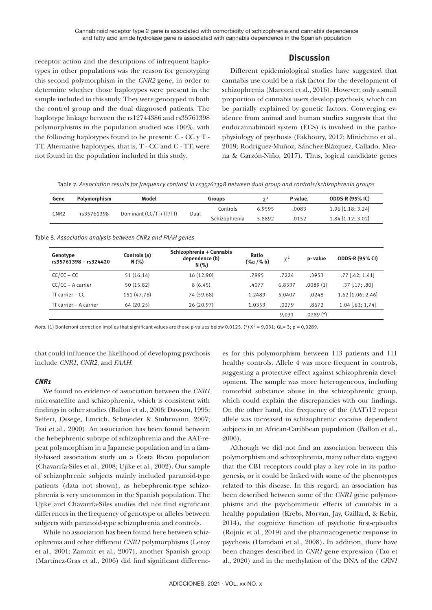# **Discussion**

receptor action and the descriptions of infrequent haplotypes in other populations was the reason for genotyping this second polymorphism in the *CNR2* gene, in order to determine whether those haplotypes were present in the sample included in this study. They were genotyped in both the control group and the dual diagnosed patients. The haplotype linkage between the rs12744386 and rs35761398 polymorphisms in the population studied was 100%, with the following haplotypes found to be present: C - CC y T - TT. Alternative haplotypes, that is, T - CC and C - TT, were not found in the population included in this study.

Different epidemiological studies have suggested that cannabis use could be a risk factor for the development of schizophrenia (Marconi et al., 2016). However, only a small proportion of cannabis users develop psychosis, which can be partially explained by genetic factors. Converging evidence from animal and human studies suggests that the endocannabinoid system (ECS) is involved in the pathophysiology of psychosis (Fakhoury, 2017; Minichino et al., 2019; Rodriguez-Muñoz, Sánchez-Blázquez, Callado, Meana & Garzón-Niño, 2017). Thus, logical candidate genes

Table 7*. Association results for frequency contrast in rs35761398 between dual group and controls/schizophrenia groups*

| Gene             | Polymorphism | Model                          | <b>Groups</b> |               | $\gamma^2$ | P value. | <b>ODDS-R (95% IC)</b> |
|------------------|--------------|--------------------------------|---------------|---------------|------------|----------|------------------------|
| CNR <sub>2</sub> | rs35761398   | Dominant (CC/TT+TT/TT)<br>Dual |               | Controls      | 6.9595     | .0083    | 1.96 [1.18; 3.24]      |
|                  |              |                                |               | Schizophrenia | 5.8892     | .0152    | $1.84$ [1.12; 3.02]    |

Table 8*. Association analysis between CNR2 and FAAH genes*

| Genotype<br>rs35761398 - rs324420 | Controls (a)<br>N(% ) | Schizophrenia + Cannabis<br>dependence (b)<br>N(% ) | Ratio<br>$(% \mathbf{A})$ (% a /% b) | $\chi^2$ | p-value     | <b>ODDS-R (95% CI)</b> |
|-----------------------------------|-----------------------|-----------------------------------------------------|--------------------------------------|----------|-------------|------------------------|
| $CC/CC - CC$                      | 51(16.14)             | 16 (12.90)                                          | .7995                                | .7224    | .3953       | $.77$ [.42; 1.41]      |
| $CC/CC - A carrier$               | 50 (15.82)            | 8(6.45)                                             | .4077                                | 6.8337   | .0089(1)    | $.37$ [.17; .80]       |
| $TT$ carrier – $CC$               | 151 (47.78)           | 74 (59.68)                                          | 1.2489                               | 5.0407   | .0248       | 1.62 [1.06; 2.46]      |
| TT carrier - A carrier            | 64 (20.25)            | 26(20.97)                                           | 1.0353                               | .0279    | .8672       | $1.04$ [.63; 1.74]     |
|                                   |                       |                                                     |                                      | 9,031    | $.0289$ (*) |                        |

*Nota.* (1) Bonferroni correction implies that significant values are those p-values below 0.0125. (\*) X<sup>2</sup> = 9,031; GL= 3; p = 0,0289.

that could influence the likelihood of developing psychosis include *CNR1*, *CNR2*, and *FAAH*.

# *CNR1*

We found no evidence of association between the *CNR1* microsatellite and schizophrenia, which is consistent with findings in other studies (Ballon et al., 2006; Dawson, 1995; Seifert, Ossege, Emrich, Schneider & Stuhrmann, 2007; Tsai et al., 2000). An association has been found between the hebephrenic subtype of schizophrenia and the AAT-repeat polymorphism in a Japanese population and in a family-based association study on a Costa Rican population (Chavarría-Siles et al., 2008; Ujike et al., 2002). Our sample of schizophrenic subjects mainly included paranoid-type patients (data not shown), as hebephrenic-type schizophrenia is very uncommon in the Spanish population. The Ujike and Chavarría-Siles studies did not find significant differences in the frequency of genotype or alleles between subjects with paranoid-type schizophrenia and controls.

While no association has been found here between schizophrenia and other different *CNR1* polymorphisms (Leroy et al., 2001; Zammit et al., 2007), another Spanish group (Martínez-Gras et al., 2006) did find significant differenc-

es for this polymorphism between 113 patients and 111 healthy controls. Allele 4 was more frequent in controls, suggesting a protective effect against schizophrenia development. The sample was more heterogeneous, including comorbid substance abuse in the schizophrenic group, which could explain the discrepancies with our findings. On the other hand, the frequency of the (AAT)12 repeat allele was increased in schizophrenic cocaine dependent subjects in an African-Caribbean population (Ballon et al., 2006).

Although we did not find an association between this polymorphism and schizophrenia, many other data suggest that the CB1 receptors could play a key role in its pathogenesis, or it could be linked with some of the phenotypes related to this disease. In this regard, an association has been described between some of the *CNR1* gene polymorphisms and the psychomimetic effects of cannabis in a healthy population (Krebs, Morvan, Jay, Gaillard, & Kebir, 2014), the cognitive function of psychotic first-episodes (Rojnic et al., 2019) and the pharmacogenetic response in psychosis (Hamdani et al., 2008). In addition, there have been changes described in *CNR1* gene expression (Tao et al., 2020) and in the methylation of the DNA of the *CRN1*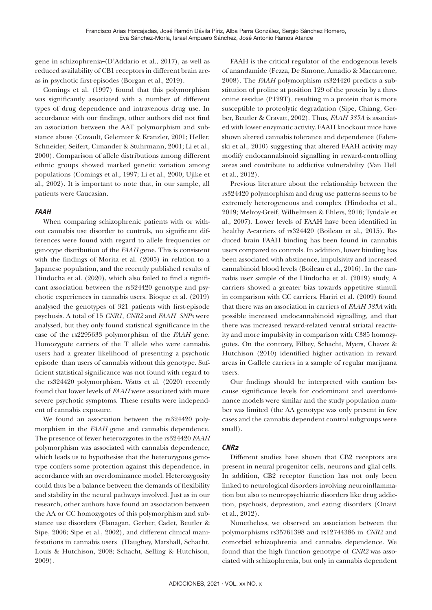gene in schizophrenia-(D'Addario et al., 2017), as well as reduced availability of CB1 receptors in different brain areas in psychotic first-episodes (Borgan et al., 2019).

Comings et al. (1997) found that this polymorphism was significantly associated with a number of different types of drug dependence and intravenous drug use. In accordance with our findings, other authors did not find an association between the AAT polymorphism and substance abuse (Covault, Gelernter & Kranzler, 2001; Heller, Schneider, Seifert, Cimander & Stuhrmann, 2001; Li et al., 2000). Comparison of allele distributions among different ethnic groups showed marked genetic variation among populations (Comings et al., 1997; Li et al., 2000; Ujike et al., 2002). It is important to note that, in our sample, all patients were Caucasian.

### *FAAH*

When comparing schizophrenic patients with or without cannabis use disorder to controls, no significant differences were found with regard to allele frequencies or genotype distribution of the *FAAH* gene. This is consistent with the findings of Morita et al. (2005) in relation to a Japanese population, and the recently published results of Hindocha et al. (2020), which also failed to find a significant association between the rs324420 genotype and psychotic experiences in cannabis users. Bioque et al. (2019) analysed the genotypes of 321 patients with first-episode psychosis. A total of 15 *CNR1, CNR2* and *FAAH SNPs* were analysed, but they only found statistical significance in the case of the rs2295633 polymorphism of the *FAAH* gene. Homozygote carriers of the T allele who were cannabis users had a greater likelihood of presenting a psychotic episode than users of cannabis without this genotype. Sufficient statistical significance was not found with regard to the rs324420 polymorphism. Watts et al. (2020) recently found that lower levels of *FAAH* were associated with more severe psychotic symptoms. These results were independent of cannabis exposure.

We found an association between the rs324420 polymorphism in the *FAAH* gene and cannabis dependence. The presence of fewer heterozygotes in the rs324420 *FAAH* polymorphism was associated with cannabis dependence, which leads us to hypothesise that the heterozygous genotype confers some protection against this dependence, in accordance with an overdominance model. Heterozygosity could thus be a balance between the demands of flexibility and stability in the neural pathways involved. Just as in our research, other authors have found an association between the AA or CC homozygotes of this polymorphism and substance use disorders (Flanagan, Gerber, Cadet, Beutler & Sipe, 2006; Sipe et al., 2002), and different clinical manifestations in cannabis users (Haughey, Marshall, Schacht, Louis & Hutchison, 2008; Schacht, Selling & Hutchison, 2009).

FAAH is the critical regulator of the endogenous levels of anandamide (Fezza, De Simone, Amadio & Maccarrone, 2008). The *FAAH* polymorphism rs324420 predicts a substitution of proline at position 129 of the protein by a threonine residue (P129T), resulting in a protein that is more susceptible to proteolytic degradation (Sipe, Chiang, Gerber, Beutler & Cravatt, 2002). Thus, *FAAH 385A* is associated with lower enzymatic activity. FAAH knockout mice have shown altered cannabis tolerance and dependence (Falenski et al., 2010) suggesting that altered FAAH activity may modify endocannabinoid signalling in reward-controlling areas and contribute to addictive vulnerability (Van Hell et al., 2012).

Previous literature about the relationship between the rs324420 polymorphism and drug use patterns seems to be extremely heterogeneous and complex (Hindocha et al., 2019; Melroy-Greif, Wilhelmsen & Ehlers, 2016; Tyndale et al., 2007). Lower levels of FAAH have been identified in healthy A-carriers of rs324420 (Boileau et al., 2015). Reduced brain FAAH binding has been found in cannabis users compared to controls. In addition, lower binding has been associated with abstinence, impulsivity and increased cannabinoid blood levels (Boileau et al., 2016). In the cannabis user sample of the Hindocha et al. (2019) study, A carriers showed a greater bias towards appetitive stimuli in comparison with CC carriers. Hariri et al. (2009) found that there was an association in carriers of *FAAH 385A* with possible increased endocannabinoid signalling, and that there was increased reward-related ventral striatal reactivity and more impulsivity in comparison with C385 homozygotes. On the contrary, Filbey, Schacht, Myers, Chavez & Hutchison (2010) identified higher activation in reward areas in C-allele carriers in a sample of regular marijuana users.

Our findings should be interpreted with caution because significance levels for codominant and overdominance models were similar and the study population number was limited (the AA genotype was only present in few cases and the cannabis dependent control subgroups were small).

### *CNR2*

Different studies have shown that CB2 receptors are present in neural progenitor cells, neurons and glial cells. In addition, CB2 receptor function has not only been linked to neurological disorders involving neuroinflammation but also to neuropsychiatric disorders like drug addiction, psychosis, depression, and eating disorders (Onaivi et al., 2012).

Nonetheless, we observed an association between the polymorphisms rs35761398 and rs12744386 in *CNR2* and comorbid schizophrenia and cannabis dependence. We found that the high function genotype of *CNR2* was associated with schizophrenia, but only in cannabis dependent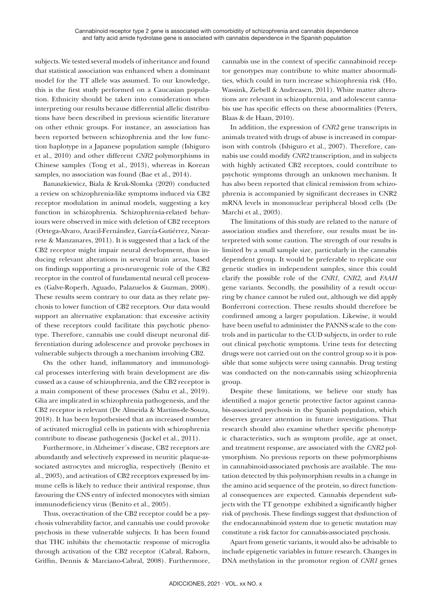subjects. We tested several models of inheritance and found that statistical association was enhanced when a dominant model for the TT allele was assumed. To our knowledge, this is the first study performed on a Caucasian population. Ethnicity should be taken into consideration when interpreting our results because differential allelic distributions have been described in previous scientific literature on other ethnic groups. For instance, an association has been reported between schizophrenia and the low function haplotype in a Japanese population sample (Ishiguro et al., 2010) and other different *CNR2* polymorphisms in Chinese samples (Tong et al., 2013), whereas in Korean samples, no association was found (Bae et al., 2014).

Banaszkiewicz, Biala & Kruk-Slomka (2020) conducted a review on schizophrenia-like symptoms induced via CB2 receptor modulation in animal models, suggesting a key function in schizophrenia. Schizophrenia-related behaviours were observed in mice with deletion of CB2 receptors (Ortega-Alvaro, Aracil-Fernández, García-Gutiérrez, Navarrete & Manzanares, 2011). It is suggested that a lack of the CB2 receptor might impair neural development, thus inducing relevant alterations in several brain areas, based on findings supporting a pro-neurogenic role of the CB2 receptor in the control of fundamental neural cell processes (Galve-Roperh, Aguado, Palazuelos & Guzman, 2008). These results seem contrary to our data as they relate psychosis to lower function of CB2 receptors. Our data would support an alternative explanation: that excessive activity of these receptors could facilitate this psychotic phenotype. Therefore, cannabis use could disrupt neuronal differentiation during adolescence and provoke psychoses in vulnerable subjects through a mechanism involving CB2.

On the other hand, inflammatory and immunological processes interfering with brain development are discussed as a cause of schizophrenia, and the CB2 receptor is a main component of these processes (Sahu et al., 2019). Glia are implicated in schizophrenia pathogenesis, and the CB2 receptor is relevant (De Almeida & Martins-de-Souza, 2018). It has been hypothesised that an increased number of activated microglial cells in patients with schizophrenia contribute to disease pathogenesis (Juckel et al., 2011).

Furthermore, in Alzheimer´s disease, CB2 receptors are abundantly and selectively expressed in neuritic plaque-associated astrocytes and microglia, respectively (Benito et al., 2003), and activation of CB2 receptors expressed by immune cells is likely to reduce their antiviral response, thus favouring the CNS entry of infected monocytes with simian immunodeficiency virus (Benito et al., 2005).

Thus, overactivation of the CB2 receptor could be a psychosis vulnerability factor, and cannabis use could provoke psychosis in these vulnerable subjects. It has been found that THC inhibits the chemotactic response of microglia through activation of the CB2 receptor (Cabral, Raborn, Griffin, Dennis & Marciano-Cabral, 2008). Furthermore, cannabis use in the context of specific cannabinoid receptor genotypes may contribute to white matter abnormalities, which could in turn increase schizophrenia risk (Ho, Wassink, Ziebell & Andreasen, 2011). White matter alterations are relevant in schizophrenia, and adolescent cannabis use has specific effects on these abnormalities (Peters, Blaas & de Haan, 2010).

In addition, the expression of *CNR2* gene transcripts in animals treated with drugs of abuse is increased in comparison with controls (Ishiguro et al., 2007). Therefore, cannabis use could modify *CNR2* transcription, and in subjects with highly activated CB2 receptors, could contribute to psychotic symptoms through an unknown mechanism. It has also been reported that clinical remission from schizophrenia is accompanied by significant decreases in CNR2 mRNA levels in mononuclear peripheral blood cells (De Marchi et al., 2003).

The limitations of this study are related to the nature of association studies and therefore, our results must be interpreted with some caution. The strength of our results is limited by a small sample size, particularly in the cannabis dependent group. It would be preferable to replicate our genetic studies in independent samples, since this could clarify the possible role of the *CNR1, CNR2,* and *FAAH* gene variants*.* Secondly, the possibility of a result occurring by chance cannot be ruled out, although we did apply Bonferroni correction. These results should therefore be confirmed among a larger population. Likewise, it would have been useful to administer the PANNS scale to the controls and in particular to the CUD subjects, in order to rule out clinical psychotic symptoms. Urine tests for detecting drugs were not carried out on the control group so it is possible that some subjects were using cannabis. Drug testing was conducted on the non-cannabis using schizophrenia group.

Despite these limitations, we believe our study has identified a major genetic protective factor against cannabis-associated psychosis in the Spanish population, which deserves greater attention in future investigations. That research should also examine whether specific phenotypic characteristics, such as symptom profile, age at onset, and treatment response, are associated with the *CNR2* polymorphism. No previous reports on these polymorphisms in cannabinoid-associated psychosis are available. The mutation detected by this polymorphism results in a change in the amino acid sequence of the protein, so direct functional consequences are expected. Cannabis dependent subjects with the TT genotype exhibited a significantly higher risk of psychosis. These findings suggest that dysfunction of the endocannabinoid system due to genetic mutation may constitute a risk factor for cannabis-associated psychosis.

Apart from genetic variants, it would also be advisable to include epigenetic variables in future research. Changes in DNA methylation in the promotor region of *CNR1* genes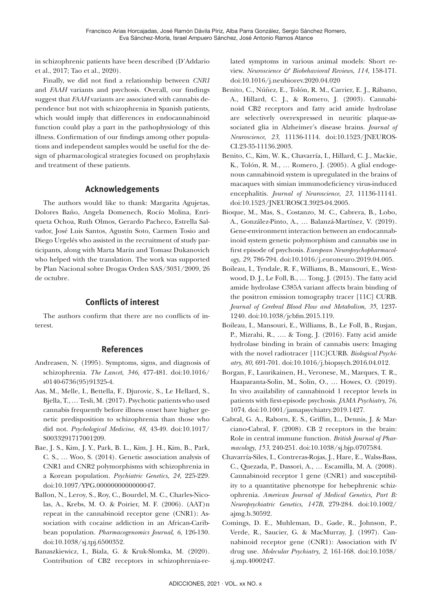in schizophrenic patients have been described (D'Addario et al., 2017; Tao et al., 2020).

Finally, we did not find a relationship between *CNR1* and *FAAH* variants and psychosis. Overall, our findings suggest that *FAAH* variants are associated with cannabis dependence but not with schizophrenia in Spanish patients, which would imply that differences in endocannabinoid function could play a part in the pathophysiology of this illness. Confirmation of our findings among other populations and independent samples would be useful for the design of pharmacological strategies focused on prophylaxis and treatment of these patients.

# **Acknowledgements**

The authors would like to thank: Margarita Agujetas, Dolores Baño, Angela Domenech, Rocío Molina, Enriqueta Ochoa, Ruth Olmos, Gerardo Pacheco, Estrella Salvador, José Luis Santos, Agustín Soto, Carmen Tosio and Diego Urgelés who assisted in the recruitment of study participants, along with Marta Marín and Tomasz Dukanovich who helped with the translation. The work was supported by Plan Nacional sobre Drogas Orden SAS/3031/2009, 26 de octubre.

# **Conflicts of interest**

The authors confirm that there are no conflicts of interest.

# **References**

- Andreasen, N. (1995). Symptoms, signs, and diagnosis of schizophrenia. *The Lancet*, *346*, 477-481. doi:10.1016/ s0140-6736(95)91325-4.
- Aas, M., Melle, I., Bettella, F., Djurovic, S., Le Hellard, S., Bjella, T., … Tesli, M. (2017). Psychotic patients who used cannabis frequently before illness onset have higher genetic predisposition to schizophrenia than those who did not. *Psychological Medicine*, *48*, 43-49. doi:10.1017/ S0033291717001209.
- Bae, J. S., Kim, J. Y., Park, B. L., Kim, J. H., Kim, B., Park, C. S., … Woo, S. (2014). Genetic association analysis of CNR1 and CNR2 polymorphisms with schizophrenia in a Korean population. *Psychiatric Genetics*, *24*, 225-229. doi:10.1097/YPG.0000000000000047.
- Ballon, N., Leroy, S., Roy, C., Bourdel, M. C., Charles-Nicolas, A., Krebs, M. O. & Poirier, M. F. (2006). (AAT)n repeat in the cannabinoid receptor gene (CNR1): Association with cocaine addiction in an African-Caribbean population. *Pharmacogenomics Journal*, *6*, 126-130. doi:10.1038/sj.tpj.6500352.
- Banaszkiewicz, I., Biala, G. & Kruk-Slomka, M. (2020). Contribution of CB2 receptors in schizophrenia-re-

lated symptoms in various animal models: Short review. *Neuroscience & Biobehavioral Reviews*, *114*, 158-171. doi:10.1016/j.neubiorev.2020.04.020

- Benito, C., Núñez, E., Tolón, R. M., Carrier, E. J., Rábano, A., Hillard, C. J., & Romero, J. (2003). Cannabinoid CB2 receptors and fatty acid amide hydrolase are selectively overexpressed in neuritic plaque-associated glia in Alzheimer's disease brains. *Journal of Neuroscience*, *23*, 11136-1114. doi:10.1523/JNEUROS-CI.23-35-11136.2003.
- Benito, C., Kim, W. K., Chavarría, I., Hillard, C. J., Mackie, K., Tolón, R. M., … Romero, J. (2005). A glial endogenous cannabinoid system is upregulated in the brains of macaques with simian immunodeficiency virus-induced encephalitis. *Journal of Neuroscience*, *23*, 11136-11141. doi:10.1523/JNEUROSCI.3923-04.2005.
- Bioque, M., Mas, S., Costanzo, M. C., Cabrera, B., Lobo, A., González-Pinto, A., … Balanzá-Martínez, V. (2019). Gene-environment interaction between an endocannabinoid system genetic polymorphism and cannabis use in first episode of psychosis. *European Neuropsychopharmacology*, *29*, 786-794. doi:10.1016/j.euroneuro.2019.04.005.
- Boileau, I., Tyndale, R. F., Williams, B., Mansouri, E., Westwood, D. J., Le Foll, B., … Tong, J. (2015). The fatty acid amide hydrolase C385A variant affects brain binding of the positron emission tomography tracer [11C] CURB. *Journal of Cerebral Blood Flow and Metabolism*, *35*, 1237- 1240. doi:10.1038/jcbfm.2015.119.
- Boileau, I., Mansouri, E., Williams, B., Le Foll, B., Rusjan, P., Mizrahi, R., …. & Tong, J. (2016). Fatty acid amide hydrolase binding in brain of cannabis users: Imaging with the novel radiotracer [11C]CURB. *Biological Psychiatry*, *80*, 691-701. doi:10.1016/j.biopsych.2016.04.012.
- Borgan, F., Laurikainen, H., Veronese, M., Marques, T. R., Haaparanta-Solin, M., Solin, O., … Howes, O. (2019). In vivo availability of cannabinoid 1 receptor levels in patients with first-episode psychosis. *JAMA Psychiatry*, *76*, 1074. doi:10.1001/jamapsychiatry.2019.1427.
- Cabral, G. A., Raborn, E. S., Griffin, L., Dennis, J. & Marciano-Cabral, F. (2008). CB 2 receptors in the brain: Role in central immune function. *British Journal of Pharmacology*, *153*, 240-251. doi:10.1038/sj.bjp.0707584.
- Chavarría-Siles, I., Contreras-Rojas, J., Hare, E., Walss-Bass, C., Quezada, P., Dassori, A., … Escamilla, M. A. (2008). Cannabinoid receptor 1 gene (CNR1) and susceptibility to a quantitative phenotype for hebephrenic schizophrenia. *American Journal of Medical Genetics, Part B: Neuropsychiatric Genetics*, *147B*, 279-284. doi:10.1002/ ajmg.b.30592.
- Comings, D. E., Muhleman, D., Gade, R., Johnson, P., Verde, R., Saucier, G. & MacMurray, J. (1997). Cannabinoid receptor gene (CNR1): Association with IV drug use. *Molecular Psychiatry*, *2*, 161-168. doi:10.1038/ sj.mp.4000247.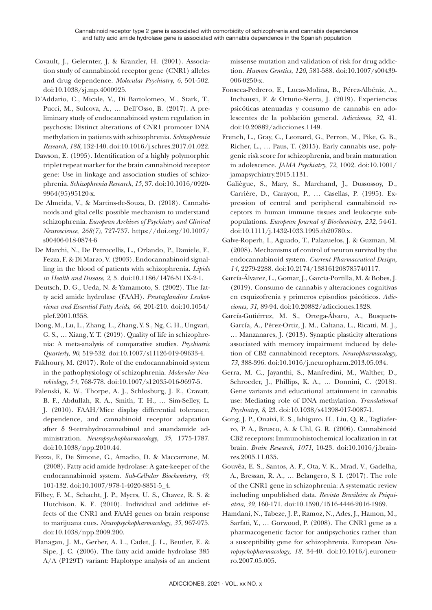- Covault, J., Gelernter, J. & Kranzler, H. (2001). Association study of cannabinoid receptor gene (CNR1) alleles and drug dependence. *Molecular Psychiatry*, *6*, 501-502. doi:10.1038/sj.mp.4000925.
- D'Addario, C., Micale, V., Di Bartolomeo, M., Stark, T., Pucci, M., Sulcova, A., … Dell'Osso, B. (2017). A preliminary study of endocannabinoid system regulation in psychosis: Distinct alterations of CNR1 promoter DNA methylation in patients with schizophrenia. *Schizophrenia Research*, *188*, 132-140. doi:10.1016/j.schres.2017.01.022.
- Dawson, E. (1995). Identification of a highly polymorphic triplet repeat marker for the brain cannabinoid receptor gene: Use in linkage and association studies of schizophrenia. *Schizophrenia Research*, *15*, 37. doi:10.1016/0920- 9964(95)95120-x.
- De Almeida, V., & Martins-de-Souza, D. (2018). Cannabinoids and glial cells: possible mechanism to understand schizophrenia. *European Archives of Psychiatry and Clinical Neuroscience*, *268(7)*, 727-737. https://doi.org/10.1007/ s00406-018-0874-6
- De Marchi, N., De Petrocellis, L., Orlando, P., Daniele, F., Fezza, F. & Di Marzo, V. (2003). Endocannabinoid signalling in the blood of patients with schizophrenia. *Lipids in Health and Disease*, *2*, 5. doi:10.1186/1476-511X-2-1.
- Deutsch, D. G., Ueda, N. & Yamamoto, S. (2002). The fatty acid amide hydrolase (FAAH). *Prostaglandins Leukotrienes and Essential Fatty Acids*, *66*, 201-210. doi:10.1054/ plef.2001.0358.
- Dong, M., Lu, L., Zhang, L., Zhang, Y. S., Ng, C. H., Ungvari, G. S., … Xiang, Y. T. (2019). Quality of life in schizophrenia: A meta-analysis of comparative studies. *Psychiatric Quarterly*, *90*, 519-532. doi:10.1007/s11126-019-09633-4.
- Fakhoury, M. (2017). Role of the endocannabinoid system in the pathophysiology of schizophrenia. *Molecular Neurobiology*, *54*, 768-778. doi:10.1007/s12035-016-9697-5.
- Falenski, K. W., Thorpe, A. J., Schlosburg, J. E., Cravatt, B. F., Abdullah, R. A., Smith, T. H., … Sim-Selley, L. J. (2010). FAAH/Mice display differential tolerance, dependence, and cannabinoid receptor adaptation after δ 9-tetrahydrocannabinol and anandamide administration. *Neuropsychopharmacology*, *35*, 1775-1787. doi:10.1038/npp.2010.44.
- Fezza, F., De Simone, C., Amadio, D. & Maccarrone, M. (2008). Fatty acid amide hydrolase: A gate-keeper of the endocannabinoid system. *Sub-Cellular Biochemistry*, *49*, 101-132. doi:10.1007/978-1-4020-8831-5\_4.
- Filbey, F. M., Schacht, J. P., Myers, U. S., Chavez, R. S. & Hutchison, K. E. (2010). Individual and additive effects of the CNR1 and FAAH genes on brain response to marijuana cues. *Neuropsychopharmacology*, *35*, 967-975. doi:10.1038/npp.2009.200.
- Flanagan, J. M., Gerber, A. L., Cadet, J. L., Beutler, E. & Sipe, J. C. (2006). The fatty acid amide hydrolase 385 A/A (P129T) variant: Haplotype analysis of an ancient

missense mutation and validation of risk for drug addiction. *Human Genetics*, *120*, 581-588. doi:10.1007/s00439- 006-0250-x.

- Fonseca-Pedrero, E., Lucas-Molina, B., Pérez-Albéniz, A., Inchausti, F. & Ortuño-Sierra, J. (2019). Experiencias psicóticas atenuadas y consumo de cannabis en adolescentes de la población general. *Adicciones*, *32*, 41. doi:10.20882/adicciones.1149.
- French, L., Gray, C., Leonard, G., Perron, M., Pike, G. B., Richer, L., … Paus, T. (2015). Early cannabis use, polygenic risk score for schizophrenia, and brain maturation in adolescence. *JAMA Psychiatry*, *72*, 1002. doi:10.1001/ jamapsychiatry.2015.1131.
- Galiègue, S., Mary, S., Marchand, J., Dussossoy, D., Carrière, D., Carayon, P., … Casellas, P. (1995). Expression of central and peripheral cannabinoid receptors in human immune tissues and leukocyte subpopulations. *European Journal of Biochemistry*, *232*, 54-61. doi:10.1111/j.1432-1033.1995.tb20780.x.
- Galve-Roperh, I., Aguado, T., Palazuelos, J. & Guzman, M. (2008). Mechanisms of control of neuron survival by the endocannabinoid system. *Current Pharmaceutical Design*, *14*, 2279-2288. doi:10.2174/138161208785740117.
- García-Álvarez, L., Gomar, J., García-Portilla, M. & Bobes, J. (2019). Consumo de cannabis y alteraciones cognitivas en esquizofrenia y primeros episodios psicóticos. *Adicciones*, *31*, 89-94. doi:10.20882/adicciones.1328.
- García-Gutiérrez, M. S., Ortega-Álvaro, A., Busquets-García, A., Pérez-Ortiz, J. M., Caltana, L., Ricatti, M. J., … Manzanares, J. (2013). Synaptic plasticity alterations associated with memory impairment induced by deletion of CB2 cannabinoid receptors. *Neuropharmacology*, *73*, 388-396. doi:10.1016/j.neuropharm.2013.05.034.
- Gerra, M. C., Jayanthi, S., Manfredini, M., Walther, D., Schroeder, J., Phillips, K. A., … Donnini, C. (2018). Gene variants and educational attainment in cannabis use: Mediating role of DNA methylation. *Translational Psychiatry*, *8*, 23. doi:10.1038/s41398-017-0087-1.
- Gong, J. P., Onaivi, E. S., Ishiguro, H., Liu, Q. R., Tagliaferro, P. A., Brusco, A. & Uhl, G. R. (2006). Cannabinoid CB2 receptors: Immunohistochemical localization in rat brain. *Brain Research*, *1071*, 10-23. doi:10.1016/j.brainres.2005.11.035.
- Gouvêa, E. S., Santos, A. F., Ota, V. K., Mrad, V., Gadelha, A., Bressan, R. A., … Belangero, S. I. (2017). The role of the CNR1 gene in schizophrenia: A systematic review including unpublished data. *Revista Brasileira de Psiquiatria*, *39*, 160-171. doi:10.1590/1516-4446-2016-1969.
- Hamdani, N., Tabeze, J. P., Ramoz, N., Ades, J., Hamon, M., Sarfati, Y., … Gorwood, P. (2008). The CNR1 gene as a pharmacogenetic factor for antipsychotics rather than a susceptibility gene for schizophrenia. European *Neuropsychopharmacology*, *18*, 34-40. doi:10.1016/j.euroneuro.2007.05.005.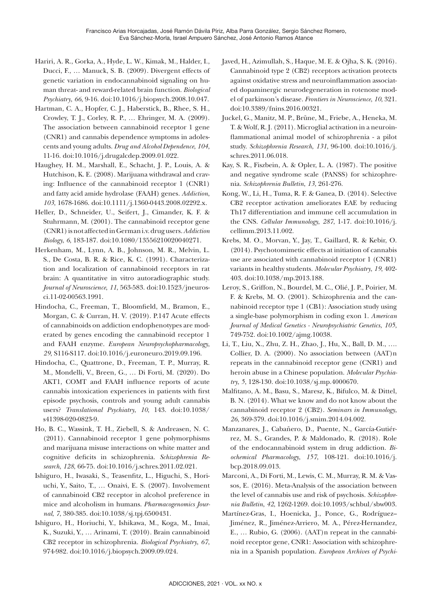- Hariri, A. R., Gorka, A., Hyde, L. W., Kimak, M., Halder, I., Ducci, F., … Manuck, S. B. (2009). Divergent effects of genetic variation in endocannabinoid signaling on human threat- and reward-related brain function. *Biological Psychiatry*, *66*, 9-16. doi:10.1016/j.biopsych.2008.10.047.
- Hartman, C. A., Hopfer, C. J., Haberstick, B., Rhee, S. H., Crowley, T. J., Corley, R. P., … Ehringer, M. A. (2009). The association between cannabinoid receptor 1 gene (CNR1) and cannabis dependence symptoms in adolescents and young adults. *Drug and Alcohol Dependence*, *104*, 11-16. doi:10.1016/j.drugalcdep.2009.01.022.
- Haughey, H. M., Marshall, E., Schacht, J. P., Louis, A. & Hutchison, K. E. (2008). Marijuana withdrawal and craving: Influence of the cannabinoid receptor 1 (CNR1) and fatty acid amide hydrolase (FAAH) genes. *Addiction*, *103*, 1678-1686. doi:10.1111/j.1360-0443.2008.02292.x.
- Heller, D., Schneider, U., Seifert, J., Cimander, K. F. & Stuhrmann, M. (2001). The cannabinoid receptor gene (CNR1) is not affected in German i.v. drug users. *Addiction Biology*, *6*, 183-187. doi:10.1080/13556210020040271.
- Herkenham, M., Lynn, A. B., Johnson, M. R., Melvin, L. S., De Costa, B. R. & Rice, K. C. (1991). Characterization and localization of cannabinoid receptors in rat brain: A quantitative in vitro autoradiographic study. *Journal of Neuroscience*, *11*, 563-583. doi:10.1523/jneurosci.11-02-00563.1991.
- Hindocha, C., Freeman, T., Bloomfield, M., Bramon, E., Morgan, C. & Curran, H. V. (2019). P.147 Acute effects of cannabinoids on addiction endophenotypes are moderated by genes encoding the cannabinoid receptor 1 and FAAH enzyme. *European Neuropsychopharmacology*, *29*, S116-S117. doi:10.1016/j.euroneuro.2019.09.196.
- Hindocha, C., Quattrone, D., Freeman, T. P., Murray, R. M., Mondelli, V., Breen, G., … Di Forti, M. (2020). Do AKT1, COMT and FAAH influence reports of acute cannabis intoxication experiences in patients with first episode psychosis, controls and young adult cannabis users? *Translational Psychiatry*, *10*, 143. doi:10.1038/ s41398-020-0823-9.
- Ho, B. C., Wassink, T. H., Ziebell, S. & Andreasen, N. C. (2011). Cannabinoid receptor 1 gene polymorphisms and marijuana misuse interactions on white matter and cognitive deficits in schizophrenia. *Schizophrenia Research*, *128*, 66-75. doi:10.1016/j.schres.2011.02.021.
- Ishiguro, H., Iwasaki, S., Teasenfitz, L., Higuchi, S., Horiuchi, Y., Saito, T., … Onaivi, E. S. (2007). Involvement of cannabinoid CB2 receptor in alcohol preference in mice and alcoholism in humans. *Pharmacogenomics Journal*, *7*, 380-385. doi:10.1038/sj.tpj.6500431.
- Ishiguro, H., Horiuchi, Y., Ishikawa, M., Koga, M., Imai, K., Suzuki, Y., … Arinami, T. (2010). Brain cannabinoid CB2 receptor in schizophrenia. *Biological Psychiatry*, *67*, 974-982. doi:10.1016/j.biopsych.2009.09.024.
- Javed, H., Azimullah, S., Haque, M. E. & Ojha, S. K. (2016). Cannabinoid type 2 (CB2) receptors activation protects against oxidative stress and neuroinflammation associated dopaminergic neurodegeneration in rotenone model of parkinson's disease. *Frontiers in Neuroscience*, *10*, 321. doi:10.3389/fnins.2016.00321.
- Juckel, G., Manitz, M. P., Brüne, M., Friebe, A., Heneka, M. T. & Wolf, R. J. (2011). Microglial activation in a neuroinflammational animal model of schizophrenia - a pilot study. *Schizophrenia Research*, *131*, 96-100. doi:10.1016/j. schres.2011.06.018.
- Kay, S. R., Fiszbein, A. & Opler, L. A. (1987). The positive and negative syndrome scale (PANSS) for schizophrenia. *Schizophrenia Bulletin*, *13*, 261-276.
- Kong, W., Li, H., Tuma, R. F. & Ganea, D. (2014). Selective CB2 receptor activation ameliorates EAE by reducing Th17 differentiation and immune cell accumulation in the CNS. *Cellular Immunology*, *287*, 1-17. doi:10.1016/j. cellimm.2013.11.002.
- Krebs, M. O., Morvan, Y., Jay, T., Gaillard, R. & Kebir, O. (2014). Psychotomimetic effects at initiation of cannabis use are associated with cannabinoid receptor 1 (CNR1) variants in healthy students. *Molecular Psychiatry*, *19*, 402- 403. doi:10.1038/mp.2013.188.
- Leroy, S., Griffon, N., Bourdel, M. C., Olié, J. P., Poirier, M. F. & Krebs, M. O. (2001). Schizophrenia and the cannabinoid receptor type 1 (CB1): Association study using a single-base polymorphism in coding exon 1. *American Journal of Medical Genetics - Neuropsychiatric Genetics*, *105*, 749-752. doi:10.1002/ajmg.10038.
- Li, T., Liu, X., Zhu, Z. H., Zhao, J., Hu, X., Ball, D. M., …. Collier, D. A. (2000). No association between (AAT)n repeats in the cannabinoid receptor gene (CNR1) and heroin abuse in a Chinese population. *Molecular Psychiatry*, *5*, 128-130. doi:10.1038/sj.mp.4000670.
- Malfitano, A. M., Basu, S., Maresz, K., Bifulco, M. & Dittel, B. N. (2014). What we know and do not know about the cannabinoid receptor 2 (CB2). *Seminars in Immunology*, *26*, 369-379. doi:10.1016/j.smim.2014.04.002.
- Manzanares, J., Cabañero, D., Puente, N., García-Gutiérrez, M. S., Grandes, P. & Maldonado, R. (2018). Role of the endocannabinoid system in drug addiction. *Biochemical Pharmacology*, *157*, 108-121. doi:10.1016/j. bcp.2018.09.013.
- Marconi, A., Di Forti, M., Lewis, C. M., Murray, R. M. & Vassos, E. (2016). Meta-Analysis of the association between the level of cannabis use and risk of psychosis. *Schizophrenia Bulletin*, *42*, 1262-1269. doi:10.1093/schbul/sbw003.
- Martínez-Gras, I., Hoenicka, J., Ponce, G., Rodríguez– Jiménez, R., Jiménez-Arriero, M. A., Pérez-Hernandez, E., … Rubio, G. (2006). (AAT)n repeat in the cannabinoid receptor gene, CNR1: Association with schizophrenia in a Spanish population. *European Archives of Psychi-*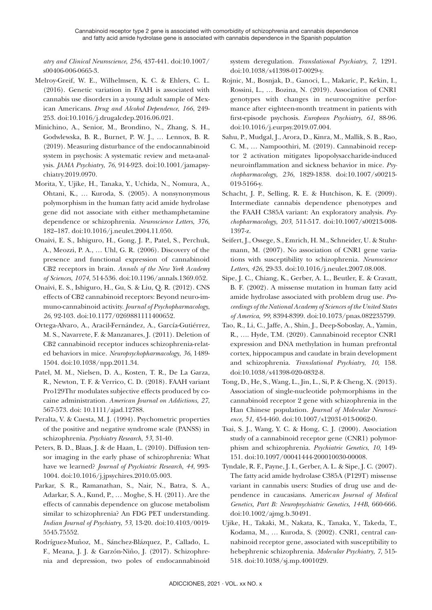*atry and Clinical Neuroscience*, *256*, 437-441. doi:10.1007/ s00406-006-0665-3.

- Melroy-Greif, W. E., Wilhelmsen, K. C. & Ehlers, C. L. (2016). Genetic variation in FAAH is associated with cannabis use disorders in a young adult sample of Mexican Americans. *Drug and Alcohol Dependence*, *166*, 249- 253. doi:10.1016/j.drugalcdep.2016.06.021.
- Minichino, A., Senior, M., Brondino, N., Zhang, S. H., Godwlewska, B. R., Burnet, P. W. J., … Lennox, B. R. (2019). Measuring disturbance of the endocannabinoid system in psychosis: A systematic review and meta-analysis. *JAMA Psychiatry*, *76*, 914-923. doi:10.1001/jamapsychiatry.2019.0970.
- Morita, Y., Ujike, H., Tanaka, Y., Uchida, N., Nomura, A., Ohtani, K., … Kuroda, S. (2005). A nonsynonymous polymorphism in the human fatty acid amide hydrolase gene did not associate with either methamphetamine dependence or schizophrenia. *Neuroscience Letters*, *376*, 182–187. doi:10.1016/j.neulet.2004.11.050.
- Onaivi, E. S., Ishiguro, H., Gong, J. P., Patel, S., Perchuk, A., Meozzi, P. A., … Uhl, G. R. (2006). Discovery of the presence and functional expression of cannabinoid CB2 receptors in brain. *Annals of the New York Academy of Sciences*, *1074*, 514-536. doi:10.1196/annals.1369.052.
- Onaivi, E. S., Ishiguro, H., Gu, S. & Liu, Q. R. (2012). CNS effects of CB2 cannabinoid receptors: Beyond neuro-immuno-cannabinoid activity. *Journal of Psychopharmacology*, *26*, 92-103. doi:10.1177/0269881111400652.
- Ortega-Alvaro, A., Aracil-Fernández, A., García-Gutiérrez, M. S., Navarrete, F. & Manzanares, J. (2011). Deletion of CB2 cannabinoid receptor induces schizophrenia-related behaviors in mice. *Neuropsychopharmacology*, *36*, 1489- 1504. doi:10.1038/npp.2011.34.
- Patel, M. M., Nielsen, D. A., Kosten, T. R., De La Garza, R., Newton, T. F. & Verrico, C. D. (2018). FAAH variant Pro129Thr modulates subjective effects produced by cocaine administration. *American Journal on Addictions*, *27*, 567-573. doi: 10.1111/ajad.12788.
- Peralta, V. & Cuesta, M. J. (1994). Psychometric properties of the positive and negative syndrome scale (PANSS) in schizophrenia. *Psychiatry Research*, *53*, 31-40.
- Peters, B. D., Blaas, J. & de Haan, L. (2010). Diffusion tensor imaging in the early phase of schizophrenia: What have we learned? *Journal of Psychiatric Research*, *44*, 993- 1004. doi:10.1016/j.jpsychires.2010.05.003.
- Parkar, S. R., Ramanathan, S., Nair, N., Batra, S. A., Adarkar, S. A., Kund, P., … Moghe, S. H. (2011). Are the effects of cannabis dependence on glucose metabolism similar to schizophrenia? An FDG PET understanding. *Indian Journal of Psychiatry*, *53*, 13-20. doi:10.4103/0019- 5545.75552.
- Rodríguez-Muñoz, M., Sánchez-Blázquez, P., Callado, L. F., Meana, J. J. & Garzón-Niño, J. (2017). Schizophrenia and depression, two poles of endocannabinoid

system deregulation. *Translational Psychiatry*, *7*, 1291. doi:10.1038/s41398-017-0029-y.

- Rojnic, M., Bosnjak, D., Ganoci, L., Makaric, P., Kekin, I., Rossini, L., … Bozina, N. (2019). Association of CNR1 genotypes with changes in neurocognitive performance after eighteen-month treatment in patients with first-episode psychosis. *European Psychiatry*, *61*, 88-96. doi:10.1016/j.eurpsy.2019.07.004.
- Sahu, P., Mudgal, J., Arora, D., Kinra, M., Mallik, S. B., Rao, C. M., … Nampoothiri, M. (2019). Cannabinoid receptor 2 activation mitigates lipopolysaccharide-induced neuroinflammation and sickness behavior in mice. *Psychopharmacology*, *236*, 1829-1838. doi:10.1007/s00213- 019-5166-y.
- Schacht, J. P., Selling, R. E. & Hutchison, K. E. (2009). Intermediate cannabis dependence phenotypes and the FAAH C385A variant: An exploratory analysis. *Psychopharmacology*, *203*, 511-517. doi:10.1007/s00213-008- 1397-z.
- Seifert, J., Ossege, S., Emrich, H. M., Schneider, U. & Stuhrmann, M. (2007). No association of CNR1 gene variations with susceptibility to schizophrenia. *Neuroscience Letters*, *426*, 29-33. doi:10.1016/j.neulet.2007.08.008.
- Sipe, J. C., Chiang, K., Gerber, A. L., Beutler, E. & Cravatt, B. F. (2002). A missense mutation in human fatty acid amide hydrolase associated with problem drug use. *Proceedings of the National Academy of Sciences of the United States of America*, *99*, 8394-8399. doi:10.1073/pnas.082235799.
- Tao, R., Li, C., Jaffe, A., Shin, J., Deep-Soboslay, A., Yamin, R., …. Hyde, T.M. (2020). Cannabinoid receptor CNR1 expression and DNA methylation in human prefrontal cortex, hippocampus and caudate in brain development and schizophrenia. *Translational Psychiatry*, *10*, 158. doi:10.1038/s41398-020-0832-8.
- Tong, D., He, S., Wang, L., Jin, L., Si, P. & Cheng, X. (2013). Association of single-nucleotide polymorphisms in the cannabinoid receptor 2 gene with schizophrenia in the Han Chinese population. *Journal of Molecular Neuroscience*, *51*, 454-460. doi:10.1007/s12031-013-0062-0.
- Tsai, S. J., Wang, Y. C. & Hong, C. J. (2000). Association study of a cannabinoid receptor gene (CNR1) polymorphism and schizophrenia. *Psychiatric Genetics*, *10*, 149- 151. doi:10.1097/00041444-200010030-00008.
- Tyndale, R. F., Payne, J. I., Gerber, A. L. & Sipe, J. C. (2007). The fatty acid amide hydrolase C385A (P129T) missense variant in cannabis users: Studies of drug use and dependence in caucasians. Americ*an Journal of Medical Genetics, Part B: Neuropsychiatric Genetics*, *144B*, 660-666. doi:10.1002/ajmg.b.30491.
- Ujike, H., Takaki, M., Nakata, K., Tanaka, Y., Takeda, T., Kodama, M., … Kuroda, S. (2002). CNR1, central cannabinoid receptor gene, associated with susceptibility to hebephrenic schizophrenia. *Molecular Psychiatry*, *7*, 515- 518. doi:10.1038/sj.mp.4001029.